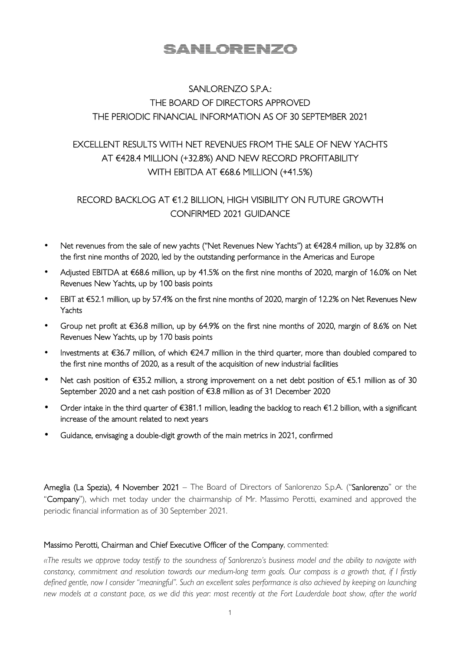# <u>SANLORENZO</u>

# SANLORENZO S.P.A.: THE BOARD OF DIRECTORS APPROVED THE PERIODIC FINANCIAL INFORMATION AS OF 30 SEPTEMBER 2021

# EXCELLENT RESULTS WITH NET REVENUES FROM THE SALE OF NEW YACHTS AT €428.4 MILLION (+32.8%) AND NEW RECORD PROFITABILITY WITH EBITDA AT €68.6 MILLION (+41.5%)

# RECORD BACKLOG AT €1.2 BILLION, HIGH VISIBILITY ON FUTURE GROWTH CONFIRMED 2021 GUIDANCE

- Net revenues from the sale of new yachts ("Net Revenues New Yachts") at €428.4 million, up by 32.8% on the first nine months of 2020, led by the outstanding performance in the Americas and Europe
- Adjusted EBITDA at €68.6 million, up by 41.5% on the first nine months of 2020, margin of 16.0% on Net Revenues New Yachts, up by 100 basis points
- EBIT at €52.1 million, up by 57.4% on the first nine months of 2020, margin of 12.2% on Net Revenues New Yachts
- Group net profit at €36.8 million, up by 64.9% on the first nine months of 2020, margin of 8.6% on Net Revenues New Yachts, up by 170 basis points
- Investments at €36.7 million, of which €24.7 million in the third quarter, more than doubled compared to the first nine months of 2020, as a result of the acquisition of new industrial facilities
- Net cash position of €35.2 million, a strong improvement on a net debt position of €5.1 million as of 30 September 2020 and a net cash position of €3.8 million as of 31 December 2020
- Order intake in the third quarter of €381.1 million, leading the backlog to reach €1.2 billion, with a significant increase of the amount related to next years
- Guidance, envisaging a double-digit growth of the main metrics in 2021, confirmed

Ameglia (La Spezia), 4 November 2021 – The Board of Directors of Sanlorenzo S.p.A. ("Sanlorenzo" or the "Company"), which met today under the chairmanship of Mr. Massimo Perotti, examined and approved the periodic financial information as of 30 September 2021.

### Massimo Perotti, Chairman and Chief Executive Officer of the Company, commented:

*«The results we approve today testify to the soundness of Sanlorenzo's business model and the ability to navigate with constancy, commitment and resolution towards our medium-long term goals. Our compass is a growth that, if I firstly defined gentle, now I consider "meaningful". Such an excellent sales performance is also achieved by keeping on launching new models at a constant pace, as we did this year: most recently at the Fort Lauderdale boat show, after the world*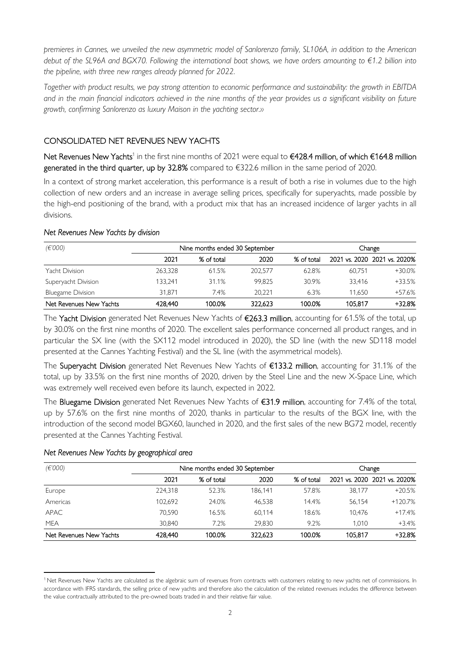*premieres in Cannes, we unveiled the new asymmetric model of Sanlorenzo family, SL106A, in addition to the American debut of the SL96A and BGX70. Following the international boat shows, we have orders amounting to €1.2 billion into the pipeline, with three new ranges already planned for 2022.* 

*Together with product results, we pay strong attention to economic performance and sustainability: the growth in EBITDA*  and in the main financial indicators achieved in the nine months of the year provides us a significant visibility on future *growth, confirming Sanlorenzo as luxury Maison in the yachting sector.»* 

## CONSOLIDATED NET REVENUES NEW YACHTS

Net Revenues New Yachts<sup>1</sup> in the first nine months of 2021 were equal to €428.4 million, of which €164.8 million generated in the third quarter, up by 32.8% compared to €322.6 million in the same period of 2020.

In a context of strong market acceleration, this performance is a result of both a rise in volumes due to the high collection of new orders and an increase in average selling prices, specifically for superyachts, made possible by the high-end positioning of the brand, with a product mix that has an increased incidence of larger yachts in all divisions.

### *Net Revenues New Yachts by division*

| (E'000)                  | Nine months ended 30 September |            |         |            | Change  |                              |  |
|--------------------------|--------------------------------|------------|---------|------------|---------|------------------------------|--|
|                          | 2021                           | % of total | 2020    | % of total |         | 2021 vs. 2020 2021 vs. 2020% |  |
| Yacht Division           | 263.328                        | 61.5%      | 202.577 | 62.8%      | 60.751  | $+30.0%$                     |  |
| Superyacht Division      | 133.241                        | 31.1%      | 99.825  | 30.9%      | 33.416  | $+33.5%$                     |  |
| <b>Bluegame Division</b> | 31.871                         | 7.4%       | 20.221  | 6.3%       | 11.650  | +57.6%                       |  |
| Net Revenues New Yachts  | 428,440                        | 100.0%     | 322,623 | 100.0%     | 105,817 | +32.8%                       |  |

The Yacht Division generated Net Revenues New Yachts of €263.3 million, accounting for 61.5% of the total, up by 30.0% on the first nine months of 2020. The excellent sales performance concerned all product ranges, and in particular the SX line (with the SX112 model introduced in 2020), the SD line (with the new SD118 model presented at the Cannes Yachting Festival) and the SL line (with the asymmetrical models).

The Superyacht Division generated Net Revenues New Yachts of €133.2 million, accounting for 31.1% of the total, up by 33.5% on the first nine months of 2020, driven by the Steel Line and the new X-Space Line, which was extremely well received even before its launch, expected in 2022.

The Bluegame Division generated Net Revenues New Yachts of €31.9 million, accounting for 7.4% of the total, up by 57.6% on the first nine months of 2020, thanks in particular to the results of the BGX line, with the introduction of the second model BGX60, launched in 2020, and the first sales of the new BG72 model, recently presented at the Cannes Yachting Festival.

### *Net Revenues New Yachts by geographical area*

| (E'000)                 | Nine months ended 30 September | Change     |         |            |         |                              |
|-------------------------|--------------------------------|------------|---------|------------|---------|------------------------------|
|                         | 2021                           | % of total | 2020    | % of total |         | 2021 vs. 2020 2021 vs. 2020% |
| Europe                  | 224.318                        | 52.3%      | 186.141 | 57.8%      | 38.177  | $+20.5%$                     |
| Americas                | 102.692                        | 24.0%      | 46.538  | 14.4%      | 56.154  | $+120.7%$                    |
| <b>APAC</b>             | 70.590                         | 16.5%      | 60.114  | 18.6%      | 10.476  | $+17.4%$                     |
| <b>MEA</b>              | 30.840                         | 7.2%       | 29.830  | 9.2%       | 1.010   | $+3.4%$                      |
| Net Revenues New Yachts | 428,440                        | 100.0%     | 322.623 | 100.0%     | 105.817 | +32.8%                       |

<sup>&</sup>lt;sup>1</sup> Net Revenues New Yachts are calculated as the algebraic sum of revenues from contracts with customers relating to new yachts net of commissions. In accordance with IFRS standards, the selling price of new yachts and therefore also the calculation of the related revenues includes the difference between the value contractually attributed to the pre-owned boats traded in and their relative fair value.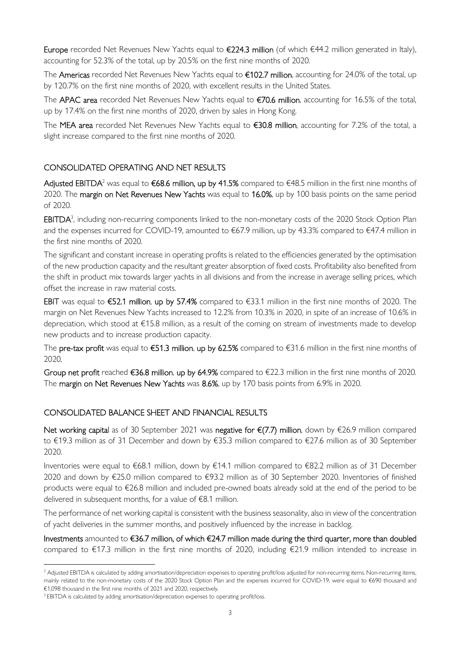Europe recorded Net Revenues New Yachts equal to €224.3 million (of which €44.2 million generated in Italy), accounting for 52.3% of the total, up by 20.5% on the first nine months of 2020.

The Americas recorded Net Revenues New Yachts equal to €102.7 million, accounting for 24.0% of the total, up by 120.7% on the first nine months of 2020, with excellent results in the United States.

The APAC area recorded Net Revenues New Yachts equal to €70.6 million, accounting for 16.5% of the total, up by 17.4% on the first nine months of 2020, driven by sales in Hong Kong.

The MEA area recorded Net Revenues New Yachts equal to  $€30.8$  million, accounting for 7.2% of the total, a slight increase compared to the first nine months of 2020.

## CONSOLIDATED OPERATING AND NET RESULTS

**Adjusted EBITDA**<sup>2</sup> was equal to **€68.6 million, up by 41.5%** compared to €48.5 million in the first nine months of 2020. The margin on Net Revenues New Yachts was equal to 16.0%, up by 100 basis points on the same period of 2020.

 $EBITDA<sup>3</sup>$ , including non-recurring components linked to the non-monetary costs of the 2020 Stock Option Plan and the expenses incurred for COVID-19, amounted to €67.9 million, up by 43.3% compared to €47.4 million in the first nine months of 2020.

The significant and constant increase in operating profits is related to the efficiencies generated by the optimisation of the new production capacity and the resultant greater absorption of fixed costs. Profitability also benefited from the shift in product mix towards larger yachts in all divisions and from the increase in average selling prices, which offset the increase in raw material costs.

EBIT was equal to €52.1 million, up by 57.4% compared to €33.1 million in the first nine months of 2020. The margin on Net Revenues New Yachts increased to 12.2% from 10.3% in 2020, in spite of an increase of 10.6% in depreciation, which stood at €15.8 million, as a result of the coming on stream of investments made to develop new products and to increase production capacity.

The pre-tax profit was equal to  $\epsilon$ 51.3 million, up by 62.5% compared to  $\epsilon$ 31.6 million in the first nine months of 2020.

Group net profit reached  $\epsilon$ 36.8 million, up by 64.9% compared to  $\epsilon$ 22.3 million in the first nine months of 2020. The margin on Net Revenues New Yachts was 8.6%, up by 170 basis points from 6.9% in 2020.

### CONSOLIDATED BALANCE SHEET AND FINANCIAL RESULTS

Net working capital as of 30 September 2021 was negative for €(7.7) million, down by €26.9 million compared to €19.3 million as of 31 December and down by €35.3 million compared to €27.6 million as of 30 September 2020.

Inventories were equal to €68.1 million, down by €14.1 million compared to €82.2 million as of 31 December 2020 and down by €25.0 million compared to €93.2 million as of 30 September 2020. Inventories of finished products were equal to €26.8 million and included pre-owned boats already sold at the end of the period to be delivered in subsequent months, for a value of €8.1 million.

The performance of net working capital is consistent with the business seasonality, also in view of the concentration of yacht deliveries in the summer months, and positively influenced by the increase in backlog.

Investments amounted to €36.7 million, of which €24.7 million made during the third quarter, more than doubled compared to €17.3 million in the first nine months of 2020, including €21.9 million intended to increase in

<sup>&</sup>lt;sup>2</sup> Adjusted EBITDA is calculated by adding amortisation/depreciation expenses to operating profit/loss adjusted for non-recurring items. Non-recurring items, mainly related to the non-monetary costs of the 2020 Stock Option Plan and the expenses incurred for COVID-19, were equal to €690 thousand and €1,098 thousand in the first nine months of 2021 and 2020, respectively.

<sup>&</sup>lt;sup>3</sup> EBITDA is calculated by adding amortisation/depreciation expenses to operating profit/loss.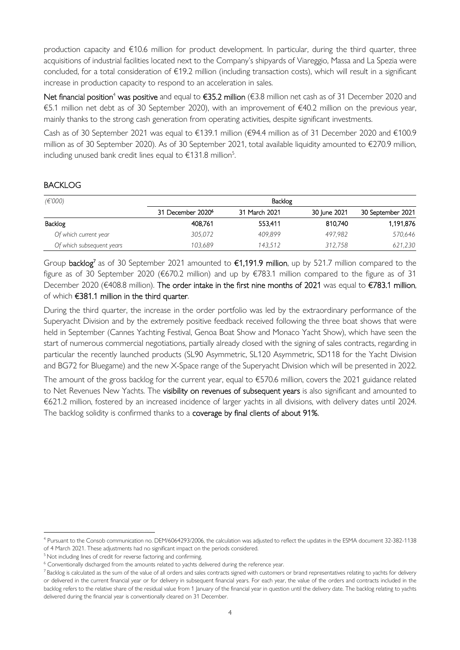production capacity and €10.6 million for product development. In particular, during the third quarter, three acquisitions of industrial facilities located next to the Company's shipyards of Viareggio, Massa and La Spezia were concluded, for a total consideration of €19.2 million (including transaction costs), which will result in a significant increase in production capacity to respond to an acceleration in sales.

Net financial position<sup>4</sup> was positive and equal to €35.2 million (€3.8 million net cash as of 31 December 2020 and €5.1 million net debt as of 30 September 2020), with an improvement of €40.2 million on the previous year, mainly thanks to the strong cash generation from operating activities, despite significant investments.

Cash as of 30 September 2021 was equal to €139.1 million (€94.4 million as of 31 December 2020 and €100.9 million as of 30 September 2020). As of 30 September 2021, total available liquidity amounted to €270.9 million, including unused bank credit lines equal to  $\epsilon$ 131.8 million<sup>5</sup>.

### BACKLOG

| (E'000)                   |                               | Backlog       |              |                   |
|---------------------------|-------------------------------|---------------|--------------|-------------------|
|                           | 31 December 2020 <sup>6</sup> | 31 March 2021 | 30 June 2021 | 30 September 2021 |
| Backlog                   | 408.761                       | 553.411       | 810.740      | 1,191,876         |
| Of which current year     | 305,072                       | 409.899       | 497.982      | 570,646           |
| Of which subsequent years | 103.689                       | 143.512       | 312.758      | 621,230           |

Group backlog<sup>7</sup> as of 30 September 2021 amounted to €1,191.9 million, up by 521.7 million compared to the figure as of 30 September 2020 (€670.2 million) and up by €783.1 million compared to the figure as of 31 December 2020 (€408.8 million). The order intake in the first nine months of 2021 was equal to €783.1 million, of which €381.1 million in the third quarter.

During the third quarter, the increase in the order portfolio was led by the extraordinary performance of the Superyacht Division and by the extremely positive feedback received following the three boat shows that were held in September (Cannes Yachting Festival, Genoa Boat Show and Monaco Yacht Show), which have seen the start of numerous commercial negotiations, partially already closed with the signing of sales contracts, regarding in particular the recently launched products (SL90 Asymmetric, SL120 Asymmetric, SD118 for the Yacht Division and BG72 for Bluegame) and the new X-Space range of the Superyacht Division which will be presented in 2022.

The amount of the gross backlog for the current year, equal to €570.6 million, covers the 2021 guidance related to Net Revenues New Yachts. The visibility on revenues of subsequent years is also significant and amounted to €621.2 million, fostered by an increased incidence of larger yachts in all divisions, with delivery dates until 2024. The backlog solidity is confirmed thanks to a coverage by final clients of about 91%.

<sup>4</sup> Pursuant to the Consob communication no. DEM/6064293/2006, the calculation was adjusted to reflect the updates in the ESMA document 32-382-1138 of 4 March 2021. These adjustments had no significant impact on the periods considered.

<sup>&</sup>lt;sup>5</sup> Not including lines of credit for reverse factoring and confirming.

<sup>&</sup>lt;sup>6</sup> Conventionally discharged from the amounts related to yachts delivered during the reference year.

 $7$ Backlog is calculated as the sum of the value of all orders and sales contracts signed with customers or brand representatives relating to yachts for delivery or delivered in the current financial year or for delivery in subsequent financial years. For each year, the value of the orders and contracts included in the backlog refers to the relative share of the residual value from 1 January of the financial year in question until the delivery date. The backlog relating to yachts delivered during the financial year is conventionally cleared on 31 December.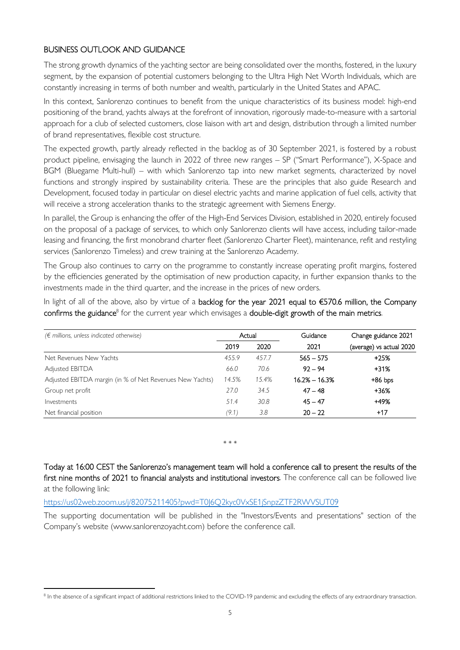### BUSINESS OUTLOOK AND GUIDANCE

The strong growth dynamics of the yachting sector are being consolidated over the months, fostered, in the luxury segment, by the expansion of potential customers belonging to the Ultra High Net Worth Individuals, which are constantly increasing in terms of both number and wealth, particularly in the United States and APAC.

In this context, Sanlorenzo continues to benefit from the unique characteristics of its business model: high-end positioning of the brand, yachts always at the forefront of innovation, rigorously made-to-measure with a sartorial approach for a club of selected customers, close liaison with art and design, distribution through a limited number of brand representatives, flexible cost structure.

The expected growth, partly already reflected in the backlog as of 30 September 2021, is fostered by a robust product pipeline, envisaging the launch in 2022 of three new ranges – SP ("Smart Performance"), X-Space and BGM (Bluegame Multi-hull) – with which Sanlorenzo tap into new market segments, characterized by novel functions and strongly inspired by sustainability criteria. These are the principles that also guide Research and Development, focused today in particular on diesel electric yachts and marine application of fuel cells, activity that will receive a strong acceleration thanks to the strategic agreement with Siemens Energy.

In parallel, the Group is enhancing the offer of the High-End Services Division, established in 2020, entirely focused on the proposal of a package of services, to which only Sanlorenzo clients will have access, including tailor-made leasing and financing, the first monobrand charter fleet (Sanlorenzo Charter Fleet), maintenance, refit and restyling services (Sanlorenzo Timeless) and crew training at the Sanlorenzo Academy.

The Group also continues to carry on the programme to constantly increase operating profit margins, fostered by the efficiencies generated by the optimisation of new production capacity, in further expansion thanks to the investments made in the third quarter, and the increase in the prices of new orders.

In light of all of the above, also by virtue of a backlog for the year 2021 equal to €570.6 million, the Company  $\epsilon$  confirms the guidance $^8$  for the current year which envisages a double-digit growth of the main metrics.

| $(\epsilon$ millions, unless indicated otherwise)        |       | Actual | Guidance          | Change guidance 2021     |
|----------------------------------------------------------|-------|--------|-------------------|--------------------------|
|                                                          | 2019  | 2020   | 2021              | (average) vs actual 2020 |
| Net Revenues New Yachts                                  | 455.9 | 457.7  | $565 - 575$       | $+25%$                   |
| Adjusted EBITDA                                          | 66.0  | 70.6   | $92 - 94$         | $+31%$                   |
| Adjusted EBITDA margin (in % of Net Revenues New Yachts) | 14.5% | 15.4%  | $16.2\% - 16.3\%$ | $+86$ bps                |
| Group net profit                                         | 27.0  | 34.5   | $47 - 48$         | $+36%$                   |
| Investments                                              | 51.4  | 30.8   | $45 - 47$         | +49%                     |
| Net financial position                                   | (9.1) | 3.8    | $20 - 22$         | $+17$                    |

\* \* \*

Today at 16:00 CEST the Sanlorenzo's management team will hold a conference call to present the results of the first nine months of 2021 to financial analysts and institutional investors. The conference call can be followed live at the following link:

https://us02web.zoom.us/j/82075211405?pwd=T0J6Q2kyc0VxSE1jSnpzZTF2RWVSUT09

The supporting documentation will be published in the "Investors/Events and presentations" section of the Company's website (www.sanlorenzoyacht.com) before the conference call.

 $^8$  In the absence of a significant impact of additional restrictions linked to the COVID-19 pandemic and excluding the effects of any extraordinary transaction.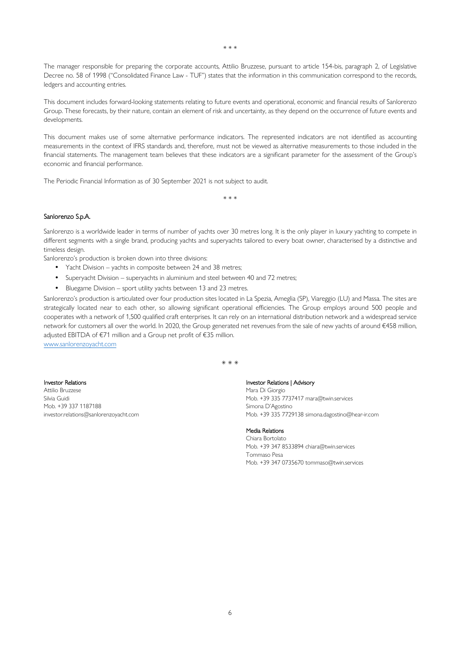The manager responsible for preparing the corporate accounts, Attilio Bruzzese, pursuant to article 154-bis, paragraph 2, of Legislative Decree no. 58 of 1998 ("Consolidated Finance Law - TUF") states that the information in this communication correspond to the records, ledgers and accounting entries.

This document includes forward-looking statements relating to future events and operational, economic and financial results of Sanlorenzo Group. These forecasts, by their nature, contain an element of risk and uncertainty, as they depend on the occurrence of future events and developments.

This document makes use of some alternative performance indicators. The represented indicators are not identified as accounting measurements in the context of IFRS standards and, therefore, must not be viewed as alternative measurements to those included in the financial statements. The management team believes that these indicators are a significant parameter for the assessment of the Group's economic and financial performance.

The Periodic Financial Information as of 30 September 2021 is not subject to audit.

\* \* \*

### Sanlorenzo S.p.A.

Sanlorenzo is a worldwide leader in terms of number of yachts over 30 metres long. It is the only player in luxury yachting to compete in different segments with a single brand, producing yachts and superyachts tailored to every boat owner, characterised by a distinctive and timeless design.

Sanlorenzo's production is broken down into three divisions:

- Yacht Division yachts in composite between 24 and 38 metres;
- Superyacht Division superyachts in aluminium and steel between 40 and 72 metres;
- Bluegame Division sport utility yachts between 13 and 23 metres.

Sanlorenzo's production is articulated over four production sites located in La Spezia, Ameglia (SP), Viareggio (LU) and Massa. The sites are strategically located near to each other, so allowing significant operational efficiencies. The Group employs around 500 people and cooperates with a network of 1,500 qualified craft enterprises. It can rely on an international distribution network and a widespread service network for customers all over the world. In 2020, the Group generated net revenues from the sale of new yachts of around €458 million, adjusted EBITDA of €71 million and a Group net profit of €35 million.

\* \* \*

www.sanlorenzoyacht.com

#### Investor Relations

Attilio Bruzzese Silvia Guidi Mob. +39 337 1187188 investor.relations@sanlorenzoyacht.com

### Investor Relations | Advisory

Mara Di Giorgio Mob. +39 335 7737417 mara@twin.services Simona D'Agostino Mob. +39 335 7729138 simona.dagostino@hear-ir.com

#### Media Relations

Chiara Bortolato Mob. +39 347 8533894 chiara@twin.services Tommaso Pesa Mob. +39 347 0735670 tommaso@twin.services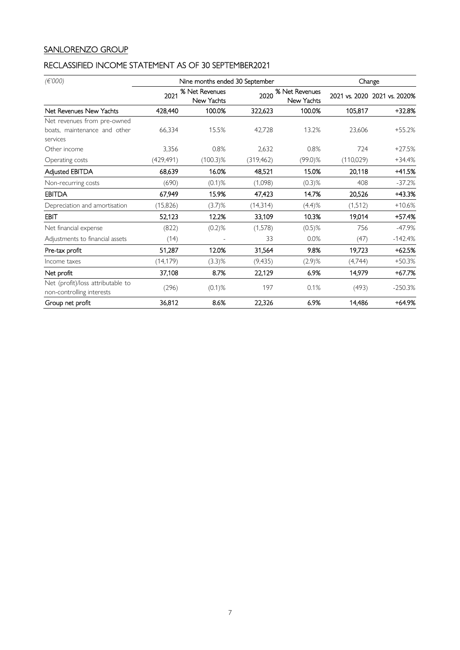# SANLORENZO GROUP

# RECLASSIFIED INCOME STATEMENT AS OF 30 SEPTEMBER2021

| (E'000)                                                        |            | Nine months ended 30 September |                                      |            | Change     |                              |  |
|----------------------------------------------------------------|------------|--------------------------------|--------------------------------------|------------|------------|------------------------------|--|
|                                                                | 2021       | % Net Revenues<br>New Yachts   | % Net Revenues<br>2020<br>New Yachts |            |            | 2021 vs. 2020 2021 vs. 2020% |  |
| Net Revenues New Yachts                                        | 428,440    | 100.0%                         | 322,623                              | 100.0%     | 105,817    | +32.8%                       |  |
| Net revenues from pre-owned                                    |            |                                |                                      |            |            |                              |  |
| boats, maintenance and other<br>services                       | 66,334     | 15.5%                          | 42,728                               | 13.2%      | 23,606     | $+55.2%$                     |  |
| Other income                                                   | 3,356      | 0.8%                           | 2,632                                | 0.8%       | 724        | $+27.5%$                     |  |
| Operating costs                                                | (429, 491) | $(100.3)\%$                    | (319, 462)                           | $(99.0)\%$ | (110, 029) | $+34.4%$                     |  |
| Adjusted EBITDA                                                | 68,639     | 16.0%                          | 48,521                               | 15.0%      | 20,118     | +41.5%                       |  |
| Non-recurring costs                                            | (690)      | $(0.1)$ %                      | (1,098)                              | $(0.3)$ %  | 408        | $-37.2%$                     |  |
| <b>EBITDA</b>                                                  | 67,949     | 15.9%                          | 47,423                               | 14.7%      | 20,526     | +43.3%                       |  |
| Depreciation and amortisation                                  | (15,826)   | $(3.7)$ %                      | (14,314)                             | (4.4)%     | (1, 512)   | $+10.6%$                     |  |
| EBIT                                                           | 52,123     | 12.2%                          | 33,109                               | 10.3%      | 19,014     | +57.4%                       |  |
| Net financial expense                                          | (822)      | $(0.2)$ %                      | (1,578)                              | $(0.5)$ %  | 756        | $-47.9%$                     |  |
| Adjustments to financial assets                                | (14)       |                                | 33                                   | 0.0%       | (47)       | $-142.4%$                    |  |
| Pre-tax profit                                                 | 51,287     | 12.0%                          | 31,564                               | 9.8%       | 19,723     | $+62.5%$                     |  |
| Income taxes                                                   | (14, 179)  | $(3.3)$ %                      | (9, 435)                             | $(2.9)$ %  | (4,744)    | $+50.3%$                     |  |
| Net profit                                                     | 37,108     | 8.7%                           | 22,129                               | 6.9%       | 14,979     | +67.7%                       |  |
| Net (profit)/loss attributable to<br>non-controlling interests | (296)      | $(0.1)$ %                      | 197                                  | 0.1%       | (493)      | $-250.3%$                    |  |
| Group net profit                                               | 36,812     | 8.6%                           | 22,326                               | 6.9%       | 14,486     | $+64.9%$                     |  |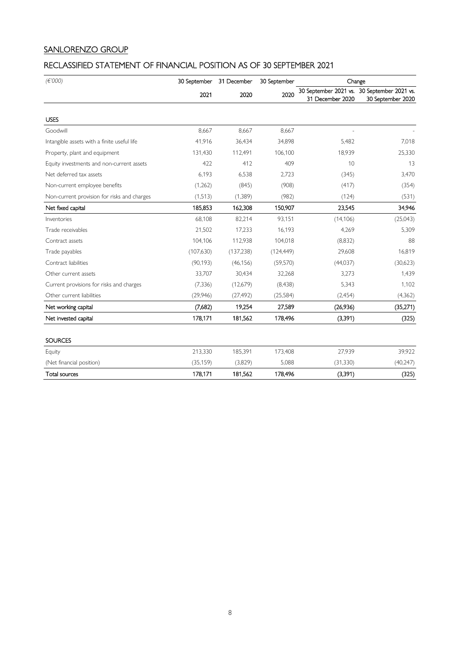# SANLORENZO GROUP

# RECLASSIFIED STATEMENT OF FINANCIAL POSITION AS OF 30 SEPTEMBER 2021

| (E'000)                                     | 30 September | 31 December | 30 September |                  | Change                                                           |  |
|---------------------------------------------|--------------|-------------|--------------|------------------|------------------------------------------------------------------|--|
|                                             | 2021         | 2020        | 2020         | 31 December 2020 | 30 September 2021 vs. 30 September 2021 vs.<br>30 September 2020 |  |
| <b>USES</b>                                 |              |             |              |                  |                                                                  |  |
| Goodwill                                    | 8,667        | 8,667       | 8,667        |                  |                                                                  |  |
| Intangible assets with a finite useful life | 41.916       | 36.434      | 34,898       | 5,482            | 7,018                                                            |  |
| Property, plant and equipment               | 131,430      | 112,491     | 106,100      | 18,939           | 25,330                                                           |  |
| Equity investments and non-current assets   | 422          | 412         | 409          | 10               | 13                                                               |  |
| Net deferred tax assets                     | 6,193        | 6,538       | 2,723        | (345)            | 3,470                                                            |  |
| Non-current employee benefits               | (1,262)      | (845)       | (908)        | (417)            | (354)                                                            |  |
| Non-current provision for risks and charges | (1,513)      | (1,389)     | (982)        | (124)            | (531)                                                            |  |
| Net fixed capital                           | 185,853      | 162,308     | 150,907      | 23,545           | 34,946                                                           |  |
| Inventories                                 | 68,108       | 82,214      | 93,151       | (14, 106)        | (25,043)                                                         |  |
| Trade receivables                           | 21,502       | 17,233      | 16,193       | 4,269            | 5,309                                                            |  |
| Contract assets                             | 104.106      | 112,938     | 104,018      | (8,832)          | 88                                                               |  |
| Trade payables                              | (107,630)    | (137, 238)  | (124, 449)   | 29,608           | 16,819                                                           |  |
| Contract liabilities                        | (90, 193)    | (46, 156)   | (59, 570)    | (44,037)         | (30,623)                                                         |  |
| Other current assets                        | 33,707       | 30,434      | 32,268       | 3,273            | 1,439                                                            |  |
| Current provisions for risks and charges    | (7, 336)     | (12,679)    | (8, 438)     | 5,343            | 1,102                                                            |  |
| Other current liabilities                   | (29, 946)    | (27, 492)   | (25, 584)    | (2,454)          | (4,362)                                                          |  |
| Net working capital                         | (7,682)      | 19,254      | 27,589       | (26,936)         | (35,271)                                                         |  |
| Net invested capital                        | 178,171      | 181,562     | 178,496      | (3, 391)         | (325)                                                            |  |
| <b>SOURCES</b>                              |              |             |              |                  |                                                                  |  |
| Equity                                      | 213,330      | 185,391     | 173,408      | 27,939           | 39,922                                                           |  |
| (Net financial position)                    | (35, 159)    | (3,829)     | 5,088        | (31, 330)        | (40, 247)                                                        |  |
| Total sources                               | 178,171      | 181,562     | 178,496      | (3,391)          | (325)                                                            |  |